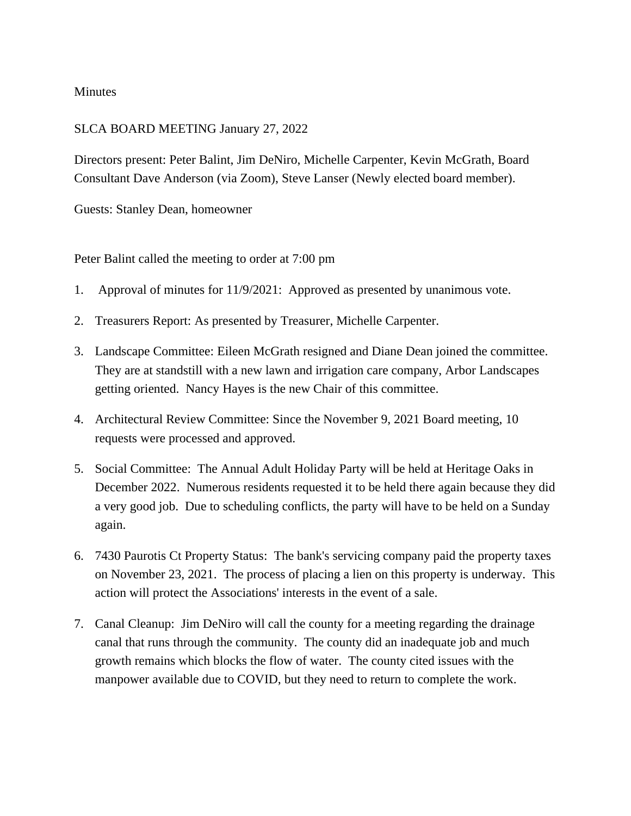## Minutes

## SLCA BOARD MEETING January 27, 2022

Directors present: Peter Balint, Jim DeNiro, Michelle Carpenter, Kevin McGrath, Board Consultant Dave Anderson (via Zoom), Steve Lanser (Newly elected board member).

Guests: Stanley Dean, homeowner

Peter Balint called the meeting to order at 7:00 pm

- 1. Approval of minutes for 11/9/2021: Approved as presented by unanimous vote.
- 2. Treasurers Report: As presented by Treasurer, Michelle Carpenter.
- 3. Landscape Committee: Eileen McGrath resigned and Diane Dean joined the committee. They are at standstill with a new lawn and irrigation care company, Arbor Landscapes getting oriented. Nancy Hayes is the new Chair of this committee.
- 4. Architectural Review Committee: Since the November 9, 2021 Board meeting, 10 requests were processed and approved.
- 5. Social Committee: The Annual Adult Holiday Party will be held at Heritage Oaks in December 2022. Numerous residents requested it to be held there again because they did a very good job. Due to scheduling conflicts, the party will have to be held on a Sunday again.
- 6. 7430 Paurotis Ct Property Status: The bank's servicing company paid the property taxes on November 23, 2021. The process of placing a lien on this property is underway. This action will protect the Associations' interests in the event of a sale.
- 7. Canal Cleanup: Jim DeNiro will call the county for a meeting regarding the drainage canal that runs through the community. The county did an inadequate job and much growth remains which blocks the flow of water. The county cited issues with the manpower available due to COVID, but they need to return to complete the work.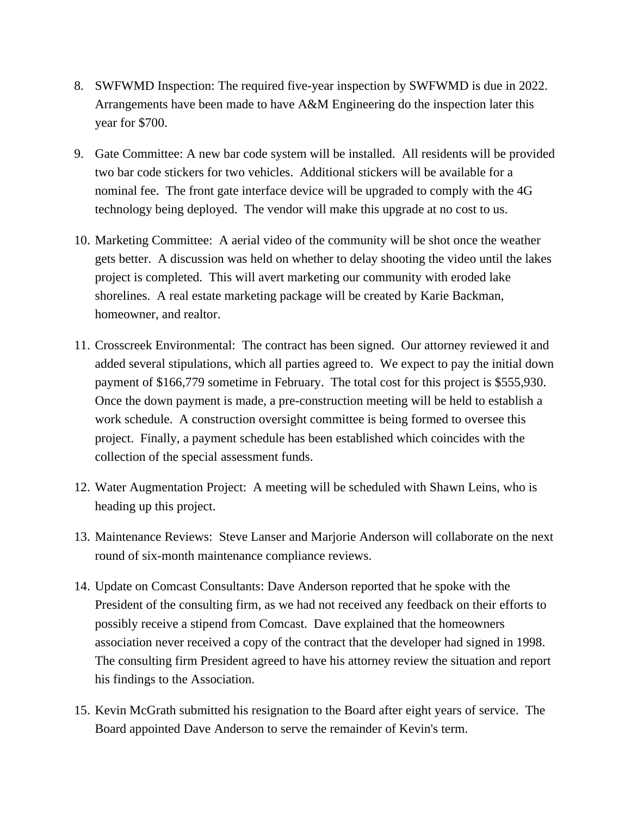- 8. SWFWMD Inspection: The required five-year inspection by SWFWMD is due in 2022. Arrangements have been made to have A&M Engineering do the inspection later this year for \$700.
- 9. Gate Committee: A new bar code system will be installed. All residents will be provided two bar code stickers for two vehicles. Additional stickers will be available for a nominal fee. The front gate interface device will be upgraded to comply with the 4G technology being deployed. The vendor will make this upgrade at no cost to us.
- 10. Marketing Committee: A aerial video of the community will be shot once the weather gets better. A discussion was held on whether to delay shooting the video until the lakes project is completed. This will avert marketing our community with eroded lake shorelines. A real estate marketing package will be created by Karie Backman, homeowner, and realtor.
- 11. Crosscreek Environmental: The contract has been signed. Our attorney reviewed it and added several stipulations, which all parties agreed to. We expect to pay the initial down payment of \$166,779 sometime in February. The total cost for this project is \$555,930. Once the down payment is made, a pre-construction meeting will be held to establish a work schedule. A construction oversight committee is being formed to oversee this project. Finally, a payment schedule has been established which coincides with the collection of the special assessment funds.
- 12. Water Augmentation Project: A meeting will be scheduled with Shawn Leins, who is heading up this project.
- 13. Maintenance Reviews: Steve Lanser and Marjorie Anderson will collaborate on the next round of six-month maintenance compliance reviews.
- 14. Update on Comcast Consultants: Dave Anderson reported that he spoke with the President of the consulting firm, as we had not received any feedback on their efforts to possibly receive a stipend from Comcast. Dave explained that the homeowners association never received a copy of the contract that the developer had signed in 1998. The consulting firm President agreed to have his attorney review the situation and report his findings to the Association.
- 15. Kevin McGrath submitted his resignation to the Board after eight years of service. The Board appointed Dave Anderson to serve the remainder of Kevin's term.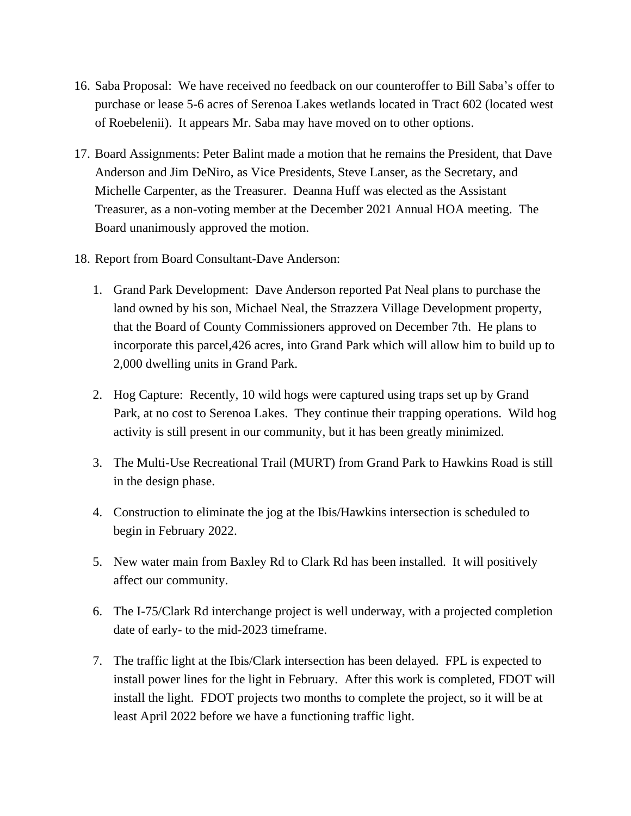- 16. Saba Proposal: We have received no feedback on our counteroffer to Bill Saba's offer to purchase or lease 5-6 acres of Serenoa Lakes wetlands located in Tract 602 (located west of Roebelenii). It appears Mr. Saba may have moved on to other options.
- 17. Board Assignments: Peter Balint made a motion that he remains the President, that Dave Anderson and Jim DeNiro, as Vice Presidents, Steve Lanser, as the Secretary, and Michelle Carpenter, as the Treasurer. Deanna Huff was elected as the Assistant Treasurer, as a non-voting member at the December 2021 Annual HOA meeting. The Board unanimously approved the motion.
- 18. Report from Board Consultant-Dave Anderson:
	- 1. Grand Park Development: Dave Anderson reported Pat Neal plans to purchase the land owned by his son, Michael Neal, the Strazzera Village Development property, that the Board of County Commissioners approved on December 7th. He plans to incorporate this parcel,426 acres, into Grand Park which will allow him to build up to 2,000 dwelling units in Grand Park.
	- 2. Hog Capture: Recently, 10 wild hogs were captured using traps set up by Grand Park, at no cost to Serenoa Lakes. They continue their trapping operations. Wild hog activity is still present in our community, but it has been greatly minimized.
	- 3. The Multi-Use Recreational Trail (MURT) from Grand Park to Hawkins Road is still in the design phase.
	- 4. Construction to eliminate the jog at the Ibis/Hawkins intersection is scheduled to begin in February 2022.
	- 5. New water main from Baxley Rd to Clark Rd has been installed. It will positively affect our community.
	- 6. The I-75/Clark Rd interchange project is well underway, with a projected completion date of early- to the mid-2023 timeframe.
	- 7. The traffic light at the Ibis/Clark intersection has been delayed. FPL is expected to install power lines for the light in February. After this work is completed, FDOT will install the light. FDOT projects two months to complete the project, so it will be at least April 2022 before we have a functioning traffic light.